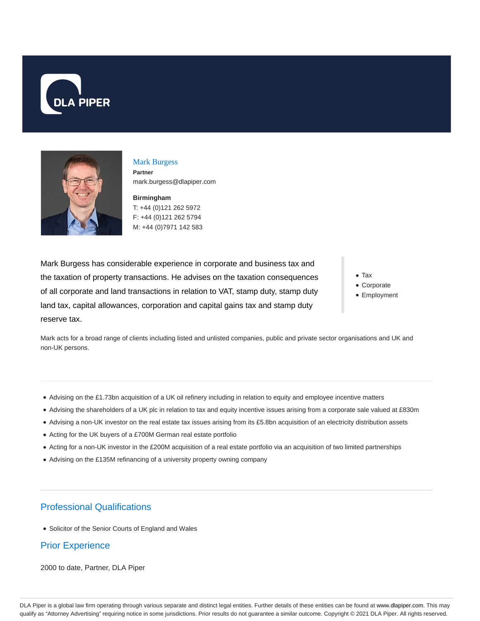



#### Mark Burgess **Partner** mark.burgess@dlapiper.com

**Birmingham** T: +44 (0)121 262 5972 F: +44 (0)121 262 5794 M: +44 (0)7971 142 583

Mark Burgess has considerable experience in corporate and business tax and the taxation of property transactions. He advises on the taxation consequences of all corporate and land transactions in relation to VAT, stamp duty, stamp duty land tax, capital allowances, corporation and capital gains tax and stamp duty reserve tax.

Tax

- Corporate
- Employment

Mark acts for a broad range of clients including listed and unlisted companies, public and private sector organisations and UK and non-UK persons.

- Advising on the £1.73bn acquisition of a UK oil refinery including in relation to equity and employee incentive matters
- Advising the shareholders of a UK plc in relation to tax and equity incentive issues arising from a corporate sale valued at £830m
- Advising a non-UK investor on the real estate tax issues arising from its £5.8bn acquisition of an electricity distribution assets
- Acting for the UK buyers of a £700M German real estate portfolio
- Acting for a non-UK investor in the £200M acquisition of a real estate portfolio via an acquisition of two limited partnerships
- Advising on the £135M refinancing of a university property owning company

# Professional Qualifications

Solicitor of the Senior Courts of England and Wales

## Prior Experience

2000 to date, Partner, DLA Piper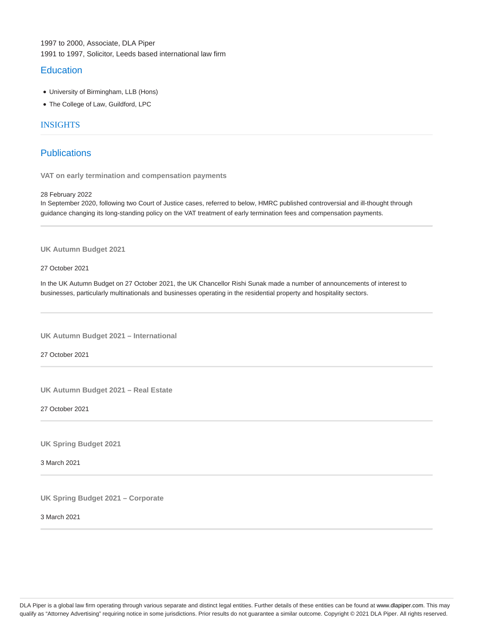1997 to 2000, Associate, DLA Piper 1991 to 1997, Solicitor, Leeds based international law firm

### **Education**

- University of Birmingham, LLB (Hons)
- The College of Law, Guildford, LPC

### **INSIGHTS**

## **Publications**

**VAT on early termination and compensation payments**

#### 28 February 2022

In September 2020, following two Court of Justice cases, referred to below, HMRC published controversial and ill-thought through guidance changing its long-standing policy on the VAT treatment of early termination fees and compensation payments.

#### **UK Autumn Budget 2021**

27 October 2021

In the UK Autumn Budget on 27 October 2021, the UK Chancellor Rishi Sunak made a number of announcements of interest to businesses, particularly multinationals and businesses operating in the residential property and hospitality sectors.

**UK Autumn Budget 2021 – International**

27 October 2021

**UK Autumn Budget 2021 – Real Estate**

27 October 2021

**UK Spring Budget 2021**

3 March 2021

**UK Spring Budget 2021 – Corporate**

3 March 2021

DLA Piper is a global law firm operating through various separate and distinct legal entities. Further details of these entities can be found at www.dlapiper.com. This may qualify as "Attorney Advertising" requiring notice in some jurisdictions. Prior results do not guarantee a similar outcome. Copyright © 2021 DLA Piper. All rights reserved.